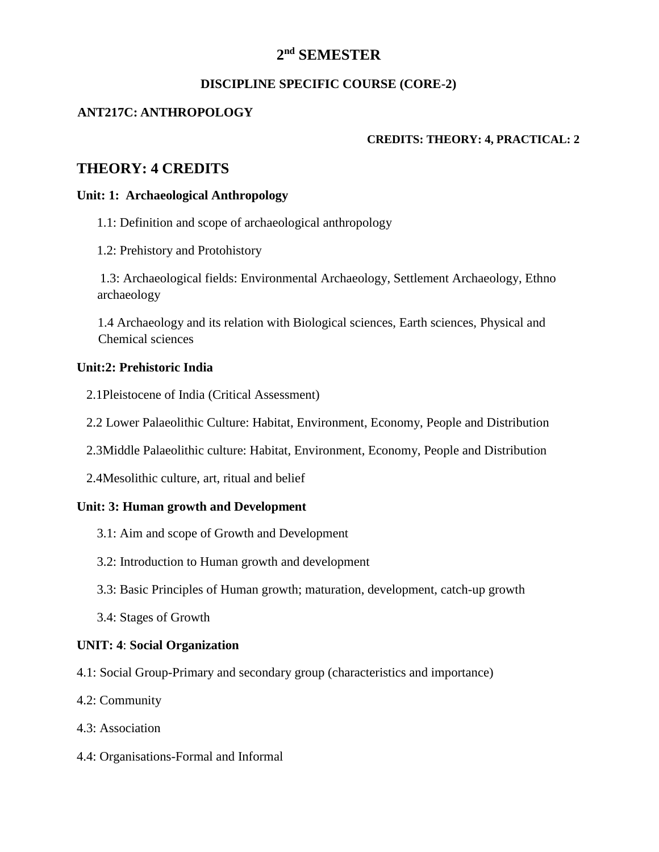# **2 nd SEMESTER**

#### **DISCIPLINE SPECIFIC COURSE (CORE-2)**

### **ANT217C: ANTHROPOLOGY**

#### **CREDITS: THEORY: 4, PRACTICAL: 2**

# **THEORY: 4 CREDITS**

#### **Unit: 1: Archaeological Anthropology**

1.1: Definition and scope of archaeological anthropology

1.2: Prehistory and Protohistory

1.3: Archaeological fields: Environmental Archaeology, Settlement Archaeology, Ethno archaeology

1.4 Archaeology and its relation with Biological sciences, Earth sciences, Physical and Chemical sciences

#### **Unit:2: Prehistoric India**

- 2.1Pleistocene of India (Critical Assessment)
- 2.2 Lower Palaeolithic Culture: Habitat, Environment, Economy, People and Distribution
- 2.3Middle Palaeolithic culture: Habitat, Environment, Economy, People and Distribution
- 2.4Mesolithic culture, art, ritual and belief

#### **Unit: 3: Human growth and Development**

- 3.1: Aim and scope of Growth and Development
- 3.2: Introduction to Human growth and development
- 3.3: Basic Principles of Human growth; maturation, development, catch-up growth
- 3.4: Stages of Growth

#### **UNIT: 4**: **Social Organization**

- 4.1: Social Group-Primary and secondary group (characteristics and importance)
- 4.2: Community
- 4.3: Association
- 4.4: Organisations-Formal and Informal